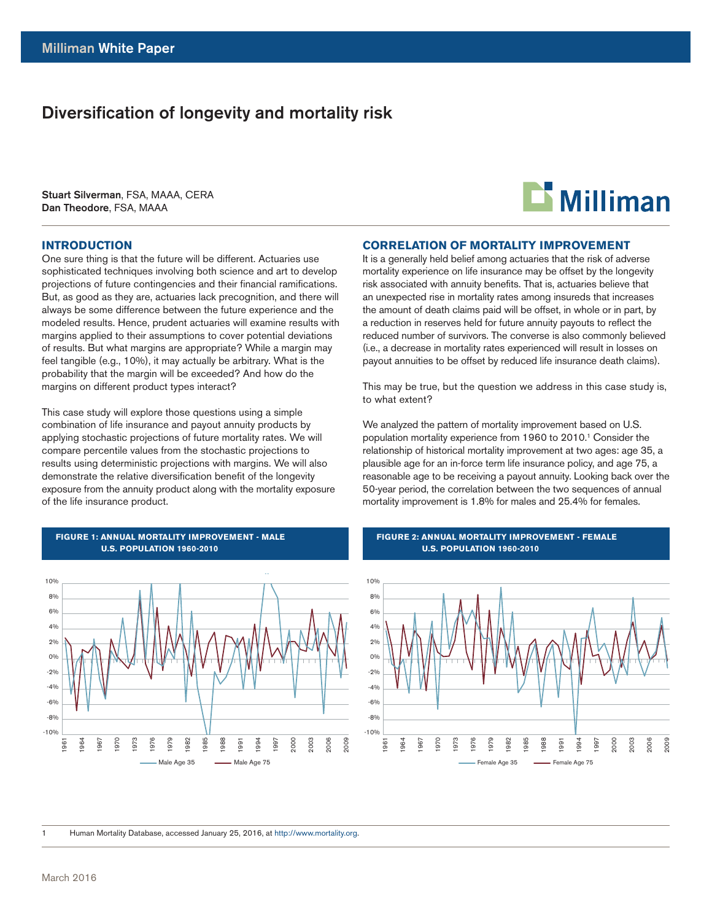# Diversification of longevity and mortality risk

Stuart Silverman, FSA, MAAA, CERA Dan Theodore, FSA, MAAA

### **INTRODUCTION**

One sure thing is that the future will be different. Actuaries use sophisticated techniques involving both science and art to develop projections of future contingencies and their financial ramifications. But, as good as they are, actuaries lack precognition, and there will always be some difference between the future experience and the modeled results. Hence, prudent actuaries will examine results with margins applied to their assumptions to cover potential deviations of results. But what margins are appropriate? While a margin may feel tangible (e.g., 10%), it may actually be arbitrary. What is the probability that the margin will be exceeded? And how do the margins on different product types interact?

This case study will explore those questions using a simple combination of life insurance and payout annuity products by applying stochastic projections of future mortality rates. We will compare percentile values from the stochastic projections to results using deterministic projections with margins. We will also demonstrate the relative diversification benefit of the longevity exposure from the annuity product along with the mortality exposure of the life insurance product.



### **FIGURE 1: ANNUAL MORTALITY IMPROVEMENT - MALE U.S. POPULATION 1960-2010**



### **CORRELATION OF MORTALITY IMPROVEMENT**

It is a generally held belief among actuaries that the risk of adverse mortality experience on life insurance may be offset by the longevity risk associated with annuity benefits. That is, actuaries believe that an unexpected rise in mortality rates among insureds that increases the amount of death claims paid will be offset, in whole or in part, by a reduction in reserves held for future annuity payouts to reflect the reduced number of survivors. The converse is also commonly believed (i.e., a decrease in mortality rates experienced will result in losses on payout annuities to be offset by reduced life insurance death claims).

This may be true, but the question we address in this case study is, to what extent?

We analyzed the pattern of mortality improvement based on U.S. population mortality experience from 1960 to 2010.<sup>1</sup> Consider the relationship of historical mortality improvement at two ages: age 35, a plausible age for an in-force term life insurance policy, and age 75, a reasonable age to be receiving a payout annuity. Looking back over the 50-year period, the correlation between the two sequences of annual mortality improvement is 1.8% for males and 25.4% for females.

#### **FIGURE 2: ANNUAL MORTALITY IMPROVEMENT - FEMALE U.S. POPULATION 1960-2010**



1 Human Mortality Database, accessed January 25, 2016, at http://www.mortality.org.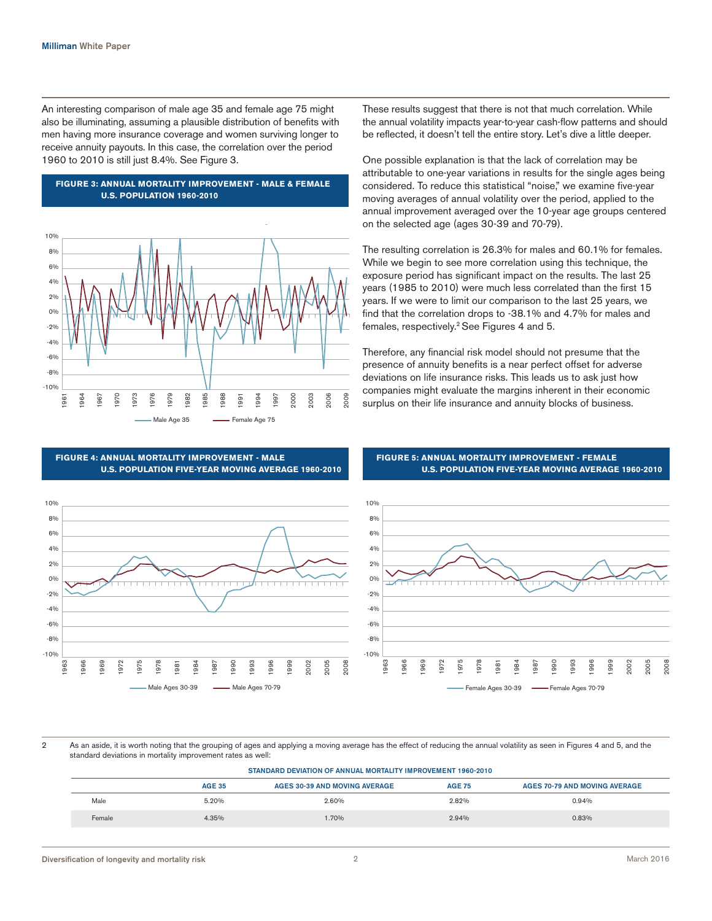An interesting comparison of male age 35 and female age 75 might also be illuminating, assuming a plausible distribution of benefits with men having more insurance coverage and women surviving longer to receive annuity payouts. In this case, the correlation over the period 1960 to 2010 is still just 8.4%. See Figure 3.



**FIGURE 3: ANNUAL MORTALITY IMPROVEMENT - MALE & FEMALE U.S. POPULATION 1960-2010**

These results suggest that there is not that much correlation. While the annual volatility impacts year-to-year cash-flow patterns and should be reflected, it doesn't tell the entire story. Let's dive a little deeper.

One possible explanation is that the lack of correlation may be attributable to one-year variations in results for the single ages being considered. To reduce this statistical "noise," we examine five-year moving averages of annual volatility over the period, applied to the annual improvement averaged over the 10-year age groups centered on the selected age (ages 30-39 and 70-79).

The resulting correlation is 26.3% for males and 60.1% for females. While we begin to see more correlation using this technique, the exposure period has significant impact on the results. The last 25 years (1985 to 2010) were much less correlated than the first 15 years. If we were to limit our comparison to the last 25 years, we find that the correlation drops to -38.1% and 4.7% for males and females, respectively.2 See Figures 4 and 5.

Therefore, any financial risk model should not presume that the presence of annuity benefits is a near perfect offset for adverse deviations on life insurance risks. This leads us to ask just how companies might evaluate the margins inherent in their economic surplus on their life insurance and annuity blocks of business.

**FIGURE 5: ANNUAL MORTALITY IMPROVEMENT - FEMALE**

**U.S. POPULATION FIVE-YEAR MOVING AVERAGE 1960-2010**



**FIGURE 4: ANNUAL MORTALITY IMPROVEMENT - MALE U.S. POPULATION FIVE-YEAR MOVING AVERAGE 1960-2010**

2 As an aside, it is worth noting that the grouping of ages and applying a moving average has the effect of reducing the annual volatility as seen in Figures 4 and 5, and the standard deviations in mortality improvement rates as well:

| STANDARD DEVIATION OF ANNUAL MORTALITY IMPROVEMENT 1960-2010                                                   |       |       |       |       |  |  |  |
|----------------------------------------------------------------------------------------------------------------|-------|-------|-------|-------|--|--|--|
| <b>AGE 35</b><br><b>AGE 75</b><br><b>AGES 70-79 AND MOVING AVERAGE</b><br><b>AGES 30-39 AND MOVING AVERAGE</b> |       |       |       |       |  |  |  |
| Male                                                                                                           | 5.20% | 2.60% | 2.82% | 0.94% |  |  |  |
| Female                                                                                                         | 4.35% | 1.70% | 2.94% | 0.83% |  |  |  |

Diversification of longevity and mortality risk 2 March 2016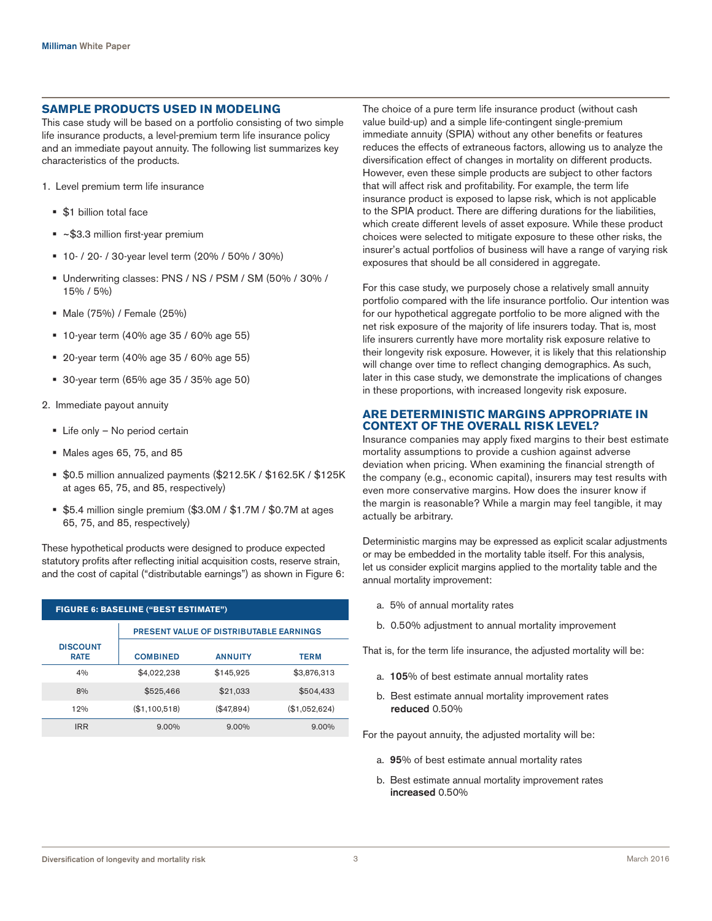### **SAMPLE PRODUCTS USED IN MODELING**

This case study will be based on a portfolio consisting of two simple life insurance products, a level-premium term life insurance policy and an immediate payout annuity. The following list summarizes key characteristics of the products.

- 1. Level premium term life insurance
	- § \$1 billion total face
	- ~\$3.3 million first-year premium
	- § 10- / 20- / 30-year level term (20% / 50% / 30%)
	- § Underwriting classes: PNS / NS / PSM / SM (50% / 30% / 15% / 5%)
	- § Male (75%) / Female (25%)
	- § 10-year term (40% age 35 / 60% age 55)
	- § 20-year term (40% age 35 / 60% age 55)
	- § 30-year term (65% age 35 / 35% age 50)
- 2. Immediate payout annuity
	- Life only No period certain
	- § Males ages 65, 75, and 85
	- § \$0.5 million annualized payments (\$212.5K / \$162.5K / \$125K at ages 65, 75, and 85, respectively)
	- § \$5.4 million single premium (\$3.0M / \$1.7M / \$0.7M at ages 65, 75, and 85, respectively)

These hypothetical products were designed to produce expected statutory profits after reflecting initial acquisition costs, reserve strain, and the cost of capital ("distributable earnings") as shown in Figure 6:

| <b>FIGURE 6: BASELINE ("BEST ESTIMATE")</b> |                 |                                         |               |  |  |  |  |
|---------------------------------------------|-----------------|-----------------------------------------|---------------|--|--|--|--|
|                                             |                 | PRESENT VALUE OF DISTRIBUTABLE EARNINGS |               |  |  |  |  |
| <b>DISCOUNT</b><br><b>RATE</b>              | <b>COMBINED</b> | <b>ANNUITY</b>                          | <b>TERM</b>   |  |  |  |  |
| 4%                                          | \$4,022,238     | \$145,925                               | \$3,876,313   |  |  |  |  |
| 8%                                          | \$525,466       | \$21,033                                | \$504,433     |  |  |  |  |
| 12%                                         | (\$1,100,518)   | (\$47,894)                              | (\$1,052,624) |  |  |  |  |
| <b>IRR</b>                                  | $9.00\%$        | $9.00\%$                                | $9.00\%$      |  |  |  |  |

The choice of a pure term life insurance product (without cash value build-up) and a simple life-contingent single-premium immediate annuity (SPIA) without any other benefits or features reduces the effects of extraneous factors, allowing us to analyze the diversification effect of changes in mortality on different products. However, even these simple products are subject to other factors that will affect risk and profitability. For example, the term life insurance product is exposed to lapse risk, which is not applicable to the SPIA product. There are differing durations for the liabilities, which create different levels of asset exposure. While these product choices were selected to mitigate exposure to these other risks, the insurer's actual portfolios of business will have a range of varying risk exposures that should be all considered in aggregate.

For this case study, we purposely chose a relatively small annuity portfolio compared with the life insurance portfolio. Our intention was for our hypothetical aggregate portfolio to be more aligned with the net risk exposure of the majority of life insurers today. That is, most life insurers currently have more mortality risk exposure relative to their longevity risk exposure. However, it is likely that this relationship will change over time to reflect changing demographics. As such, later in this case study, we demonstrate the implications of changes in these proportions, with increased longevity risk exposure.

### **ARE DETERMINISTIC MARGINS APPROPRIATE IN CONTEXT OF THE OVERALL RISK LEVEL?**

Insurance companies may apply fixed margins to their best estimate mortality assumptions to provide a cushion against adverse deviation when pricing. When examining the financial strength of the company (e.g., economic capital), insurers may test results with even more conservative margins. How does the insurer know if the margin is reasonable? While a margin may feel tangible, it may actually be arbitrary.

Deterministic margins may be expressed as explicit scalar adjustments or may be embedded in the mortality table itself. For this analysis, let us consider explicit margins applied to the mortality table and the annual mortality improvement:

- a. 5% of annual mortality rates
- b. 0.50% adjustment to annual mortality improvement

That is, for the term life insurance, the adjusted mortality will be:

- a. 105% of best estimate annual mortality rates
- b. Best estimate annual mortality improvement rates reduced 0.50%

For the payout annuity, the adjusted mortality will be:

- a. 95% of best estimate annual mortality rates
- b. Best estimate annual mortality improvement rates increased 0.50%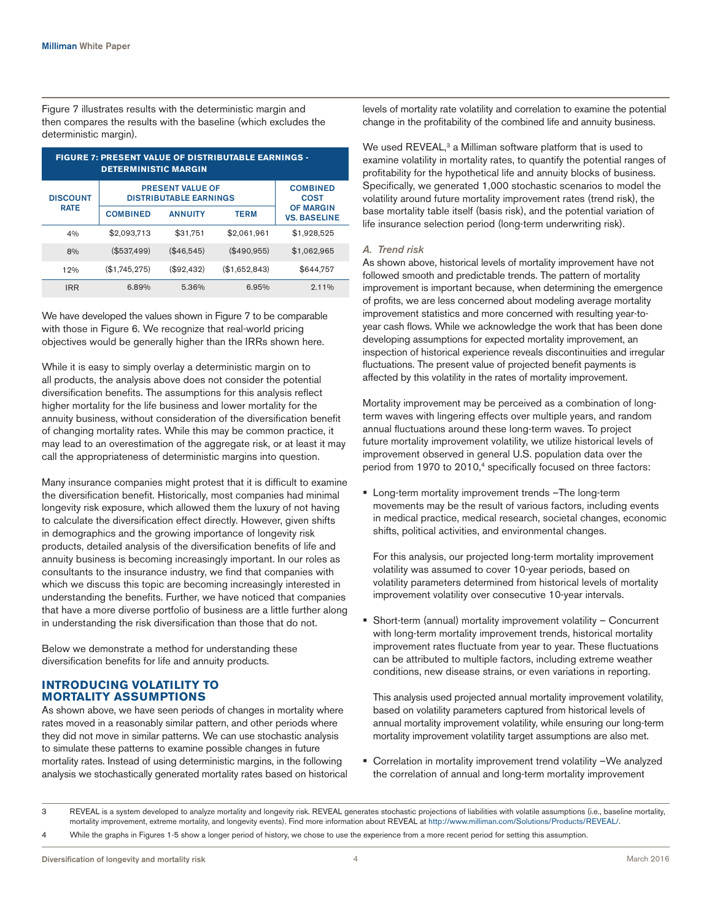Figure 7 illustrates results with the deterministic margin and then compares the results with the baseline (which excludes the deterministic margin).

| <b>FIGURE 7: PRESENT VALUE OF DISTRIBUTABLE EARNINGS -</b><br><b>DETERMINISTIC MARGIN</b> |                                                          |                                |               |                                         |  |  |  |  |  |
|-------------------------------------------------------------------------------------------|----------------------------------------------------------|--------------------------------|---------------|-----------------------------------------|--|--|--|--|--|
| <b>DISCOUNT</b>                                                                           | <b>PRESENT VALUE OF</b><br><b>DISTRIBUTABLE EARNINGS</b> | <b>COMBINED</b><br><b>COST</b> |               |                                         |  |  |  |  |  |
| <b>RATE</b>                                                                               | <b>COMBINED</b>                                          | <b>ANNUITY</b>                 | <b>TERM</b>   | <b>OF MARGIN</b><br><b>VS. BASELINE</b> |  |  |  |  |  |
| 4%                                                                                        | \$2,093,713                                              | \$31.751                       | \$2,061,961   | \$1,928,525                             |  |  |  |  |  |
| 8%                                                                                        | (\$537,499)                                              | (\$46,545)                     | (\$490,955)   | \$1,062,965                             |  |  |  |  |  |
| 12%                                                                                       | (\$1,745,275)                                            | (\$92,432)                     | (\$1,652,843) | \$644,757                               |  |  |  |  |  |
| <b>IRR</b>                                                                                | 6.89%                                                    | 5.36%                          | 6.95%         | $2.11\%$                                |  |  |  |  |  |

We have developed the values shown in Figure 7 to be comparable with those in Figure 6. We recognize that real-world pricing objectives would be generally higher than the IRRs shown here.

While it is easy to simply overlay a deterministic margin on to all products, the analysis above does not consider the potential diversification benefits. The assumptions for this analysis reflect higher mortality for the life business and lower mortality for the annuity business, without consideration of the diversification benefit of changing mortality rates. While this may be common practice, it may lead to an overestimation of the aggregate risk, or at least it may call the appropriateness of deterministic margins into question.

Many insurance companies might protest that it is difficult to examine the diversification benefit. Historically, most companies had minimal longevity risk exposure, which allowed them the luxury of not having to calculate the diversification effect directly. However, given shifts in demographics and the growing importance of longevity risk products, detailed analysis of the diversification benefits of life and annuity business is becoming increasingly important. In our roles as consultants to the insurance industry, we find that companies with which we discuss this topic are becoming increasingly interested in understanding the benefits. Further, we have noticed that companies that have a more diverse portfolio of business are a little further along in understanding the risk diversification than those that do not.

Below we demonstrate a method for understanding these diversification benefits for life and annuity products.

# **INTRODUCING VOLATILITY TO MORTALITY ASSUMPTIONS**

As shown above, we have seen periods of changes in mortality where rates moved in a reasonably similar pattern, and other periods where they did not move in similar patterns. We can use stochastic analysis to simulate these patterns to examine possible changes in future mortality rates. Instead of using deterministic margins, in the following analysis we stochastically generated mortality rates based on historical levels of mortality rate volatility and correlation to examine the potential change in the profitability of the combined life and annuity business.

We used REVEAL,<sup>3</sup> a Milliman software platform that is used to examine volatility in mortality rates, to quantify the potential ranges of profitability for the hypothetical life and annuity blocks of business. Specifically, we generated 1,000 stochastic scenarios to model the volatility around future mortality improvement rates (trend risk), the base mortality table itself (basis risk), and the potential variation of life insurance selection period (long-term underwriting risk).

# *A. Trend risk*

As shown above, historical levels of mortality improvement have not followed smooth and predictable trends. The pattern of mortality improvement is important because, when determining the emergence of profits, we are less concerned about modeling average mortality improvement statistics and more concerned with resulting year-toyear cash flows. While we acknowledge the work that has been done developing assumptions for expected mortality improvement, an inspection of historical experience reveals discontinuities and irregular fluctuations. The present value of projected benefit payments is affected by this volatility in the rates of mortality improvement.

Mortality improvement may be perceived as a combination of longterm waves with lingering effects over multiple years, and random annual fluctuations around these long-term waves. To project future mortality improvement volatility, we utilize historical levels of improvement observed in general U.S. population data over the period from 1970 to 2010,<sup>4</sup> specifically focused on three factors:

■ Long-term mortality improvement trends -The long-term movements may be the result of various factors, including events in medical practice, medical research, societal changes, economic shifts, political activities, and environmental changes.

For this analysis, our projected long-term mortality improvement volatility was assumed to cover 10-year periods, based on volatility parameters determined from historical levels of mortality improvement volatility over consecutive 10-year intervals.

§ Short-term (annual) mortality improvement volatility – Concurrent with long-term mortality improvement trends, historical mortality improvement rates fluctuate from year to year. These fluctuations can be attributed to multiple factors, including extreme weather conditions, new disease strains, or even variations in reporting.

This analysis used projected annual mortality improvement volatility, based on volatility parameters captured from historical levels of annual mortality improvement volatility, while ensuring our long-term mortality improvement volatility target assumptions are also met.

■ Correlation in mortality improvement trend volatility -We analyzed the correlation of annual and long-term mortality improvement

3 REVEAL is a system developed to analyze mortality and longevity risk. REVEAL generates stochastic projections of liabilities with volatile assumptions (i.e., baseline mortality, mortality improvement, extreme mortality, and longevity events). Find more information about REVEAL at http://www.milliman.com/Solutions/Products/REVEAL/.

While the graphs in Figures 1-5 show a longer period of history, we chose to use the experience from a more recent period for setting this assumption.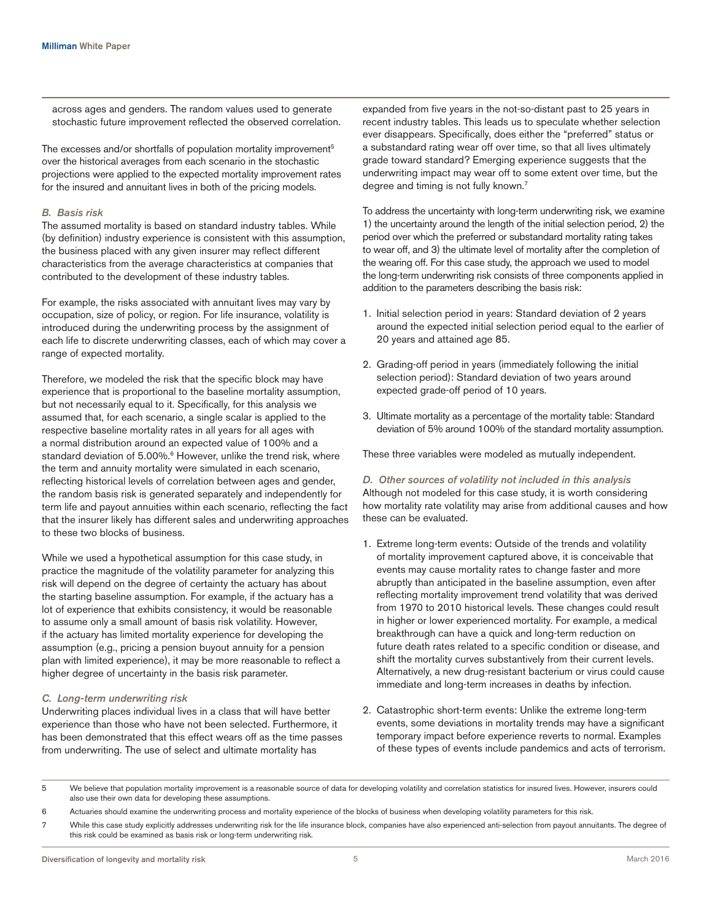across ages and genders. The random values used to generate stochastic future improvement reflected the observed correlation.

The excesses and/or shortfalls of population mortality improvement<sup>5</sup> over the historical averages from each scenario in the stochastic projections were applied to the expected mortality improvement rates for the insured and annuitant lives in both of the pricing models.

#### *B. Basis risk*

The assumed mortality is based on standard industry tables. While (by definition) industry experience is consistent with this assumption, the business placed with any given insurer may reflect different characteristics from the average characteristics at companies that contributed to the development of these industry tables.

For example, the risks associated with annuitant lives may vary by occupation, size of policy, or region. For life insurance, volatility is introduced during the underwriting process by the assignment of each life to discrete underwriting classes, each of which may cover a range of expected mortality.

Therefore, we modeled the risk that the specific block may have experience that is proportional to the baseline mortality assumption, but not necessarily equal to it. Specifically, for this analysis we assumed that, for each scenario, a single scalar is applied to the respective baseline mortality rates in all years for all ages with a normal distribution around an expected value of 100% and a standard deviation of 5.00%.<sup>6</sup> However, unlike the trend risk, where the term and annuity mortality were simulated in each scenario, reflecting historical levels of correlation between ages and gender, the random basis risk is generated separately and independently for term life and payout annuities within each scenario, reflecting the fact that the insurer likely has different sales and underwriting approaches to these two blocks of business.

While we used a hypothetical assumption for this case study, in practice the magnitude of the volatility parameter for analyzing this risk will depend on the degree of certainty the actuary has about the starting baseline assumption. For example, if the actuary has a lot of experience that exhibits consistency, it would be reasonable to assume only a small amount of basis risk volatility. However, if the actuary has limited mortality experience for developing the assumption (e.g., pricing a pension buyout annuity for a pension plan with limited experience), it may be more reasonable to reflect a higher degree of uncertainty in the basis risk parameter.

#### *C. Long-term underwriting risk*

Underwriting places individual lives in a class that will have better experience than those who have not been selected. Furthermore, it has been demonstrated that this effect wears off as the time passes from underwriting. The use of select and ultimate mortality has

expanded from five years in the not-so-distant past to 25 years in recent industry tables. This leads us to speculate whether selection ever disappears. Specifically, does either the "preferred" status or a substandard rating wear off over time, so that all lives ultimately grade toward standard? Emerging experience suggests that the underwriting impact may wear off to some extent over time, but the degree and timing is not fully known.<sup>7</sup>

To address the uncertainty with long-term underwriting risk, we examine 1) the uncertainty around the length of the initial selection period, 2) the period over which the preferred or substandard mortality rating takes to wear off, and 3) the ultimate level of mortality after the completion of the wearing off. For this case study, the approach we used to model the long-term underwriting risk consists of three components applied in addition to the parameters describing the basis risk:

- 1. Initial selection period in years: Standard deviation of 2 years around the expected initial selection period equal to the earlier of 20 years and attained age 85.
- 2. Grading-off period in years (immediately following the initial selection period): Standard deviation of two years around expected grade-off period of 10 years.
- 3. Ultimate mortality as a percentage of the mortality table: Standard deviation of 5% around 100% of the standard mortality assumption.

These three variables were modeled as mutually independent.

# *D. Other sources of volatility not included in this analysis*

Although not modeled for this case study, it is worth considering how mortality rate volatility may arise from additional causes and how these can be evaluated.

- 1. Extreme long-term events: Outside of the trends and volatility of mortality improvement captured above, it is conceivable that events may cause mortality rates to change faster and more abruptly than anticipated in the baseline assumption, even after reflecting mortality improvement trend volatility that was derived from 1970 to 2010 historical levels. These changes could result in higher or lower experienced mortality. For example, a medical breakthrough can have a quick and long-term reduction on future death rates related to a specific condition or disease, and shift the mortality curves substantively from their current levels. Alternatively, a new drug-resistant bacterium or virus could cause immediate and long-term increases in deaths by infection.
- 2. Catastrophic short-term events: Unlike the extreme long-term events, some deviations in mortality trends may have a significant temporary impact before experience reverts to normal. Examples of these types of events include pandemics and acts of terrorism.

5 We believe that population mortality improvement is a reasonable source of data for developing volatility and correlation statistics for insured lives. However, insurers could also use their own data for developing these assumptions.

- 6 Actuaries should examine the underwriting process and mortality experience of the blocks of business when developing volatility parameters for this risk.
- 7 While this case study explicitly addresses underwriting risk for the life insurance block, companies have also experienced anti-selection from payout annuitants. The degree of this risk could be examined as basis risk or long-term underwriting risk.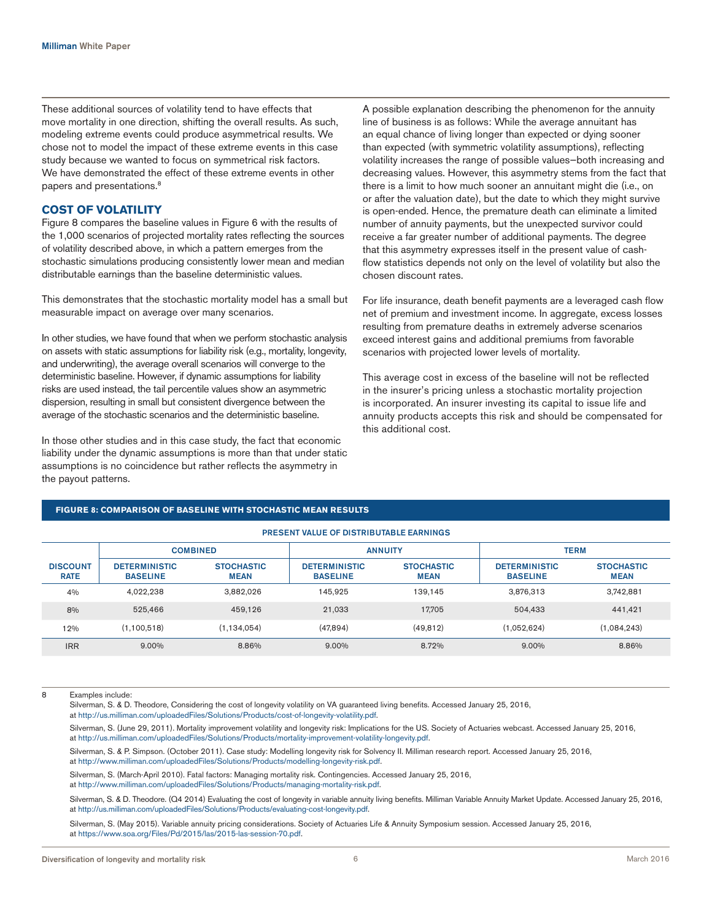These additional sources of volatility tend to have effects that move mortality in one direction, shifting the overall results. As such, modeling extreme events could produce asymmetrical results. We chose not to model the impact of these extreme events in this case study because we wanted to focus on symmetrical risk factors. We have demonstrated the effect of these extreme events in other papers and presentations.<sup>8</sup>

### **COST OF VOLATILITY**

Figure 8 compares the baseline values in Figure 6 with the results of the 1,000 scenarios of projected mortality rates reflecting the sources of volatility described above, in which a pattern emerges from the stochastic simulations producing consistently lower mean and median distributable earnings than the baseline deterministic values.

This demonstrates that the stochastic mortality model has a small but measurable impact on average over many scenarios.

In other studies, we have found that when we perform stochastic analysis on assets with static assumptions for liability risk (e.g., mortality, longevity, and underwriting), the average overall scenarios will converge to the deterministic baseline. However, if dynamic assumptions for liability risks are used instead, the tail percentile values show an asymmetric dispersion, resulting in small but consistent divergence between the average of the stochastic scenarios and the deterministic baseline.

In those other studies and in this case study, the fact that economic liability under the dynamic assumptions is more than that under static assumptions is no coincidence but rather reflects the asymmetry in the payout patterns.

A possible explanation describing the phenomenon for the annuity line of business is as follows: While the average annuitant has an equal chance of living longer than expected or dying sooner than expected (with symmetric volatility assumptions), reflecting volatility increases the range of possible values—both increasing and decreasing values. However, this asymmetry stems from the fact that there is a limit to how much sooner an annuitant might die (i.e., on or after the valuation date), but the date to which they might survive is open-ended. Hence, the premature death can eliminate a limited number of annuity payments, but the unexpected survivor could receive a far greater number of additional payments. The degree that this asymmetry expresses itself in the present value of cashflow statistics depends not only on the level of volatility but also the chosen discount rates.

For life insurance, death benefit payments are a leveraged cash flow net of premium and investment income. In aggregate, excess losses resulting from premature deaths in extremely adverse scenarios exceed interest gains and additional premiums from favorable scenarios with projected lower levels of mortality.

This average cost in excess of the baseline will not be reflected in the insurer's pricing unless a stochastic mortality projection is incorporated. An insurer investing its capital to issue life and annuity products accepts this risk and should be compensated for this additional cost.

|                                | <b>PRESENT VALUE OF DISTRIBUTABLE EARNINGS</b> |                                  |                                         |                                  |                                         |                                  |  |  |  |
|--------------------------------|------------------------------------------------|----------------------------------|-----------------------------------------|----------------------------------|-----------------------------------------|----------------------------------|--|--|--|
|                                | <b>COMBINED</b>                                |                                  |                                         | <b>ANNUITY</b>                   | <b>TERM</b>                             |                                  |  |  |  |
| <b>DISCOUNT</b><br><b>RATE</b> | <b>DETERMINISTIC</b><br><b>BASELINE</b>        | <b>STOCHASTIC</b><br><b>MEAN</b> | <b>DETERMINISTIC</b><br><b>BASELINE</b> | <b>STOCHASTIC</b><br><b>MEAN</b> | <b>DETERMINISTIC</b><br><b>BASELINE</b> | <b>STOCHASTIC</b><br><b>MEAN</b> |  |  |  |
| 4%                             | 4,022,238                                      | 3,882,026                        | 145,925                                 | 139,145                          | 3,876,313                               | 3,742,881                        |  |  |  |
| 8%                             | 525.466                                        | 459.126                          | 21,033                                  | 17.705                           | 504,433                                 | 441,421                          |  |  |  |
| 12%                            | (1, 100, 518)                                  | (1, 134, 054)                    | (47,894)                                | (49, 812)                        | (1,052,624)                             | (1,084,243)                      |  |  |  |
| <b>IRR</b>                     | 9.00%                                          | 8.86%                            | 9.00%                                   | 8.72%                            | 9.00%                                   | 8.86%                            |  |  |  |

### **FIGURE 8: COMPARISON OF BASELINE WITH STOCHASTIC MEAN RESULTS**

8 Examples include:

Silverman, S. & D. Theodore, Considering the cost of longevity volatility on VA guaranteed living benefits. Accessed January 25, 2016, at [http://us.milliman.com/uploadedFiles/Solutions/Products/cost-of-longevity-volatility.pdf.](http://us.milliman.com/uploadedFiles/Solutions/Products/cost-of-longevity-volatility.pdf)

Silverman, S. (June 29, 2011). Mortality improvement volatility and longevity risk: Implications for the US. Society of Actuaries webcast. Accessed January 25, 2016, at <http://us.milliman.com/uploadedFiles/Solutions/Products/mortality-improvement-volatility-longevity.pdf>.

Silverman, S. & P. Simpson. (October 2011). Case study: Modelling longevity risk for Solvency II. Milliman research report. Accessed January 25, 2016, at [http://www.milliman.com/uploadedFiles/Solutions/Products/modelling-longevity-risk.pdf.](http://www.milliman.com/uploadedFiles/Solutions/Products/modelling-longevity-risk.pdf)

Silverman, S. (March-April 2010). Fatal factors: Managing mortality risk. Contingencies. Accessed January 25, 2016, at <http://www.milliman.com/uploadedFiles/Solutions/Products/managing-mortality-risk.pdf>.

Silverman, S. & D. Theodore. (Q4 2014) Evaluating the cost of longevity in variable annuity living benefits. Milliman Variable Annuity Market Update. Accessed January 25, 2016, at<http://us.milliman.com/uploadedFiles/Solutions/Products/evaluating-cost-longevity.pdf>.

Silverman, S. (May 2015). Variable annuity pricing considerations. Society of Actuaries Life & Annuity Symposium session. Accessed January 25, 2016, at https://www.soa.org/Files/Pd/2015/las/2015-las-session-70.pdf.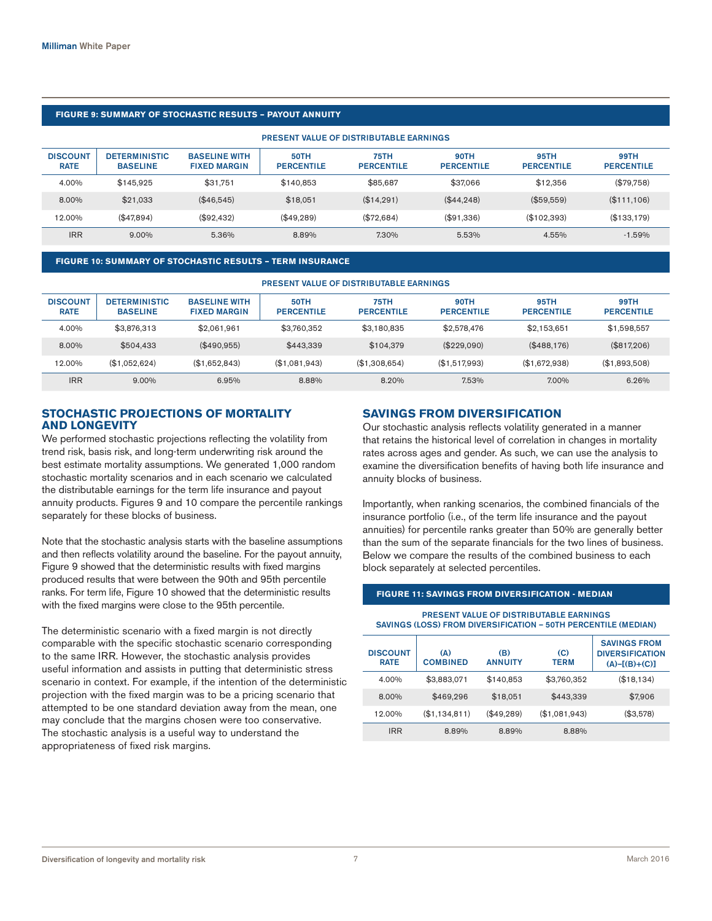### **FIGURE 9: SUMMARY OF STOCHASTIC RESULTS – PAYOUT ANNUITY**

| <b>PRESENT VALUE OF DISTRIBUTABLE EARNINGS</b> |                                         |                                             |                                  |                           |                                  |                           |                                  |  |  |
|------------------------------------------------|-----------------------------------------|---------------------------------------------|----------------------------------|---------------------------|----------------------------------|---------------------------|----------------------------------|--|--|
| <b>DISCOUNT</b><br><b>RATE</b>                 | <b>DETERMINISTIC</b><br><b>BASELINE</b> | <b>BASELINE WITH</b><br><b>FIXED MARGIN</b> | <b>50TH</b><br><b>PERCENTILE</b> | 75TH<br><b>PERCENTILE</b> | <b>90TH</b><br><b>PERCENTILE</b> | 95TH<br><b>PERCENTILE</b> | <b>99TH</b><br><b>PERCENTILE</b> |  |  |
| 4.00%                                          | \$145.925                               | \$31.751                                    | \$140.853                        | \$85.687                  | \$37,066                         | \$12,356                  | (\$79,758)                       |  |  |
| 8.00%                                          | \$21.033                                | (\$46.545)                                  | \$18.051                         | (\$14,291)                | (\$44,248)                       | (\$59.559)                | (\$111,106)                      |  |  |
| 12.00%                                         | (\$47.894)                              | (\$92.432)                                  | (\$49.289)                       | (\$72.684)                | (\$91,336)                       | (\$102,393)               | (\$133.179)                      |  |  |
| <b>IRR</b>                                     | $9.00\%$                                | 5.36%                                       | 8.89%                            | 7.30%                     | 5.53%                            | 4.55%                     | $-1.59%$                         |  |  |

#### **FIGURE 10: SUMMARY OF STOCHASTIC RESULTS – TERM INSURANCE**

| <b>PRESENT VALUE OF DISTRIBUTABLE EARNINGS</b> |                                         |                                             |                                  |                                  |                                  |                                  |                                  |  |  |
|------------------------------------------------|-----------------------------------------|---------------------------------------------|----------------------------------|----------------------------------|----------------------------------|----------------------------------|----------------------------------|--|--|
| <b>DISCOUNT</b><br><b>RATE</b>                 | <b>DETERMINISTIC</b><br><b>BASELINE</b> | <b>BASELINE WITH</b><br><b>FIXED MARGIN</b> | <b>50TH</b><br><b>PERCENTILE</b> | <b>75TH</b><br><b>PERCENTILE</b> | <b>90TH</b><br><b>PERCENTILE</b> | <b>95TH</b><br><b>PERCENTILE</b> | <b>99TH</b><br><b>PERCENTILE</b> |  |  |
| 4.00%                                          | \$3,876,313                             | \$2.061.961                                 | \$3.760.352                      | \$3.180.835                      | \$2,578,476                      | \$2.153.651                      | \$1.598.557                      |  |  |
| 8.00%                                          | \$504.433                               | $(\$490.955)$                               | \$443.339                        | \$104.379                        | (\$229.090)                      | (\$488.176)                      | (\$817.206)                      |  |  |
| 12.00%                                         | (S1.052.624)                            | (S1.652.843)                                | (\$1.081.943)                    | (\$1.308.654)                    | (\$1.517.993)                    | (\$1.672.938)                    | (S1.893.508)                     |  |  |
| <b>IRR</b>                                     | $9.00\%$                                | 6.95%                                       | 8.88%                            | 8.20%                            | 7.53%                            | 7.00%                            | 6.26%                            |  |  |

### **STOCHASTIC PROJECTIONS OF MORTALITY AND LONGEVITY**

We performed stochastic projections reflecting the volatility from trend risk, basis risk, and long-term underwriting risk around the best estimate mortality assumptions. We generated 1,000 random stochastic mortality scenarios and in each scenario we calculated the distributable earnings for the term life insurance and payout annuity products. Figures 9 and 10 compare the percentile rankings separately for these blocks of business.

Note that the stochastic analysis starts with the baseline assumptions and then reflects volatility around the baseline. For the payout annuity, Figure 9 showed that the deterministic results with fixed margins produced results that were between the 90th and 95th percentile ranks. For term life, Figure 10 showed that the deterministic results with the fixed margins were close to the 95th percentile.

The deterministic scenario with a fixed margin is not directly comparable with the specific stochastic scenario corresponding to the same IRR. However, the stochastic analysis provides useful information and assists in putting that deterministic stress scenario in context. For example, if the intention of the deterministic projection with the fixed margin was to be a pricing scenario that attempted to be one standard deviation away from the mean, one may conclude that the margins chosen were too conservative. The stochastic analysis is a useful way to understand the appropriateness of fixed risk margins.

### **SAVINGS FROM DIVERSIFICATION**

Our stochastic analysis reflects volatility generated in a manner that retains the historical level of correlation in changes in mortality rates across ages and gender. As such, we can use the analysis to examine the diversification benefits of having both life insurance and annuity blocks of business.

Importantly, when ranking scenarios, the combined financials of the insurance portfolio (i.e., of the term life insurance and the payout annuities) for percentile ranks greater than 50% are generally better than the sum of the separate financials for the two lines of business. Below we compare the results of the combined business to each block separately at selected percentiles.

#### **FIGURE 11: SAVINGS FROM DIVERSIFICATION - MEDIAN**

PRESENT VALUE OF DISTRIBUTABLE EARNINGS SAVINGS (LOSS) FROM DIVERSIFICATION – 50TH PERCENTILE (MEDIAN**)**

| <b>DISCOUNT</b><br><b>RATE</b> | (A)<br><b>COMBINED</b> | (B)<br><b>ANNUITY</b> | (C)<br><b>TERM</b> | <b>SAVINGS FROM</b><br><b>DIVERSIFICATION</b><br>$(A) - [(B)+(C)]$ |
|--------------------------------|------------------------|-----------------------|--------------------|--------------------------------------------------------------------|
| 4.00%                          | \$3,883,071            | \$140,853             | \$3,760,352        | (\$18,134)                                                         |
| 8.00%                          | \$469,296              | \$18,051              | \$443,339          | \$7,906                                                            |
| 12.00%                         | (\$1,134,811)          | $(\$49,289)$          | (\$1,081,943)      | (\$3,578)                                                          |
| <b>IRR</b>                     | 8.89%                  | 8.89%                 | 8.88%              |                                                                    |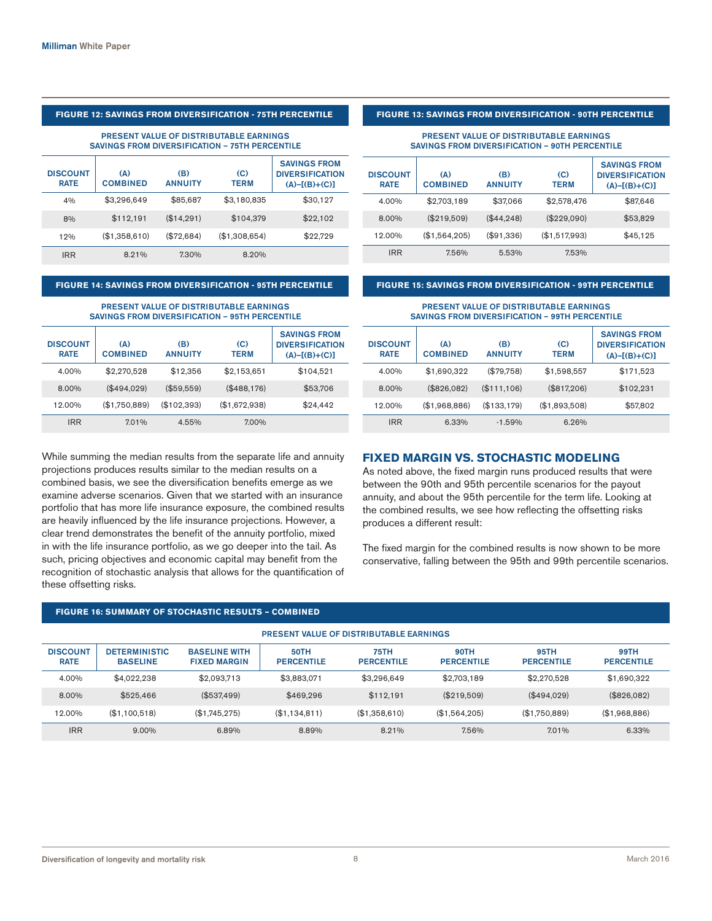### **FIGURE 12: SAVINGS FROM DIVERSIFICATION - 75TH PERCENTILE**

#### PRESENT VALUE OF DISTRIBUTABLE EARNINGS SAVINGS FROM DIVERSIFICATION – 75TH PERCENTILE

| <b>DISCOUNT</b><br><b>RATE</b> | (A)<br><b>COMBINED</b> | (B)<br><b>ANNUITY</b> | (C)<br><b>TERM</b> | <b>SAVINGS FROM</b><br><b>DIVERSIFICATION</b><br>$(A) - [(B)+(C)]$ |
|--------------------------------|------------------------|-----------------------|--------------------|--------------------------------------------------------------------|
| 4%                             | \$3,296,649            | \$85,687              | \$3,180,835        | \$30,127                                                           |
| 8%                             | \$112,191              | (\$14,291)            | \$104,379          | \$22,102                                                           |
| 12%                            | (\$1,358,610)          | (\$72,684)            | (\$1,308,654)      | \$22,729                                                           |
| <b>IRR</b>                     | 8.21%                  | 7.30%                 | 8.20%              |                                                                    |

### **FIGURE 14: SAVINGS FROM DIVERSIFICATION - 95TH PERCENTILE**

#### PRESENT VALUE OF DISTRIBUTABLE EARNINGS SAVINGS FROM DIVERSIFICATION – 95TH PERCENTILE

| <b>DISCOUNT</b><br><b>RATE</b> | (A)<br><b>COMBINED</b> | (B)<br><b>ANNUITY</b> | (C)<br><b>TERM</b> | <b>SAVINGS FROM</b><br><b>DIVERSIFICATION</b><br>$(A) - [(B)+(C)]$ |
|--------------------------------|------------------------|-----------------------|--------------------|--------------------------------------------------------------------|
| 4.00%                          | \$2,270,528            | \$12,356              | \$2,153,651        | \$104,521                                                          |
| 8.00%                          | (\$494,029)            | (\$59,559)            | (\$488,176)        | \$53,706                                                           |
| 12.00%                         | (\$1,750,889)          | (\$102,393)           | (\$1,672,938)      | \$24,442                                                           |
| <b>IRR</b>                     | 7.01%                  | 4.55%                 | 7.00%              |                                                                    |

While summing the median results from the separate life and annuity projections produces results similar to the median results on a combined basis, we see the diversification benefits emerge as we examine adverse scenarios. Given that we started with an insurance portfolio that has more life insurance exposure, the combined results are heavily influenced by the life insurance projections. However, a clear trend demonstrates the benefit of the annuity portfolio, mixed in with the life insurance portfolio, as we go deeper into the tail. As such, pricing objectives and economic capital may benefit from the recognition of stochastic analysis that allows for the quantification of these offsetting risks.

#### **FIGURE 13: SAVINGS FROM DIVERSIFICATION - 90TH PERCENTILE**

#### PRESENT VALUE OF DISTRIBUTABLE EARNINGS SAVINGS FROM DIVERSIFICATION – 90TH PERCENTILE

| <b>DISCOUNT</b><br><b>RATE</b> | (A)<br><b>COMBINED</b> | (B)<br><b>ANNUITY</b> | (C)<br><b>TERM</b> | <b>SAVINGS FROM</b><br><b>DIVERSIFICATION</b><br>$(A) - [(B)+(C)]$ |
|--------------------------------|------------------------|-----------------------|--------------------|--------------------------------------------------------------------|
| 4.00%                          | \$2,703,189            | \$37,066              | \$2,578,476        | \$87,646                                                           |
| 8.00%                          | (\$219,509)            | (\$44.248)            | (\$229,090)        | \$53,829                                                           |
| 12.00%                         | (\$1,564,205)          | (\$91,336)            | (\$1,517,993)      | \$45,125                                                           |
| <b>IRR</b>                     | 7.56%                  | 5.53%                 | 7.53%              |                                                                    |

#### **FIGURE 15: SAVINGS FROM DIVERSIFICATION - 99TH PERCENTILE**

#### PRESENT VALUE OF DISTRIBUTABLE EARNINGS SAVINGS FROM DIVERSIFICATION – 99TH PERCENTILE

| <b>DISCOUNT</b><br><b>RATE</b> | (A)<br><b>COMBINED</b> | (B)<br><b>ANNUITY</b> | (C)<br><b>TERM</b> | <b>SAVINGS FROM</b><br><b>DIVERSIFICATION</b><br>$(A) - [(B)+(C)]$ |
|--------------------------------|------------------------|-----------------------|--------------------|--------------------------------------------------------------------|
| 4.00%                          | \$1,690,322            | (\$79,758)            | \$1,598,557        | \$171,523                                                          |
| 8.00%                          | (\$826,082)            | (\$111,106)           | (\$817,206)        | \$102,231                                                          |
| 12.00%                         | (\$1,968,886)          | (\$133,179)           | (\$1,893,508)      | \$57,802                                                           |
| <b>IRR</b>                     | 6.33%                  | $-1.59%$              | 6.26%              |                                                                    |

### **FIXED MARGIN VS. STOCHASTIC MODELING**

As noted above, the fixed margin runs produced results that were between the 90th and 95th percentile scenarios for the payout annuity, and about the 95th percentile for the term life. Looking at the combined results, we see how reflecting the offsetting risks produces a different result:

The fixed margin for the combined results is now shown to be more conservative, falling between the 95th and 99th percentile scenarios.

### **FIGURE 16: SUMMARY OF STOCHASTIC RESULTS – COMBINED**

| <b>PRESENT VALUE OF DISTRIBUTABLE EARNINGS</b> |                                         |                                             |                                  |                                  |                                  |                           |                                  |  |  |
|------------------------------------------------|-----------------------------------------|---------------------------------------------|----------------------------------|----------------------------------|----------------------------------|---------------------------|----------------------------------|--|--|
| <b>DISCOUNT</b><br><b>RATE</b>                 | <b>DETERMINISTIC</b><br><b>BASELINE</b> | <b>BASELINE WITH</b><br><b>FIXED MARGIN</b> | <b>50TH</b><br><b>PERCENTILE</b> | <b>75TH</b><br><b>PERCENTILE</b> | <b>90TH</b><br><b>PERCENTILE</b> | 95TH<br><b>PERCENTILE</b> | <b>99TH</b><br><b>PERCENTILE</b> |  |  |
| 4.00%                                          | \$4.022.238                             | \$2.093.713                                 | \$3,883,071                      | \$3.296.649                      | \$2.703.189                      | \$2,270,528               | \$1,690,322                      |  |  |
| 8.00%                                          | \$525.466                               | (\$537.499)                                 | \$469.296                        | \$112.191                        | (\$219.509)                      | (\$494,029)               | (\$826,082)                      |  |  |
| 12.00%                                         | (S1.100.518)                            | (\$1.745.275)                               | (\$1,134,811)                    | (\$1,358,610)                    | (\$1,564,205)                    | (\$1.750.889)             | (\$1,968,886)                    |  |  |
| <b>IRR</b>                                     | $9.00\%$                                | 6.89%                                       | 8.89%                            | 8.21%                            | 7.56%                            | 7.01%                     | 6.33%                            |  |  |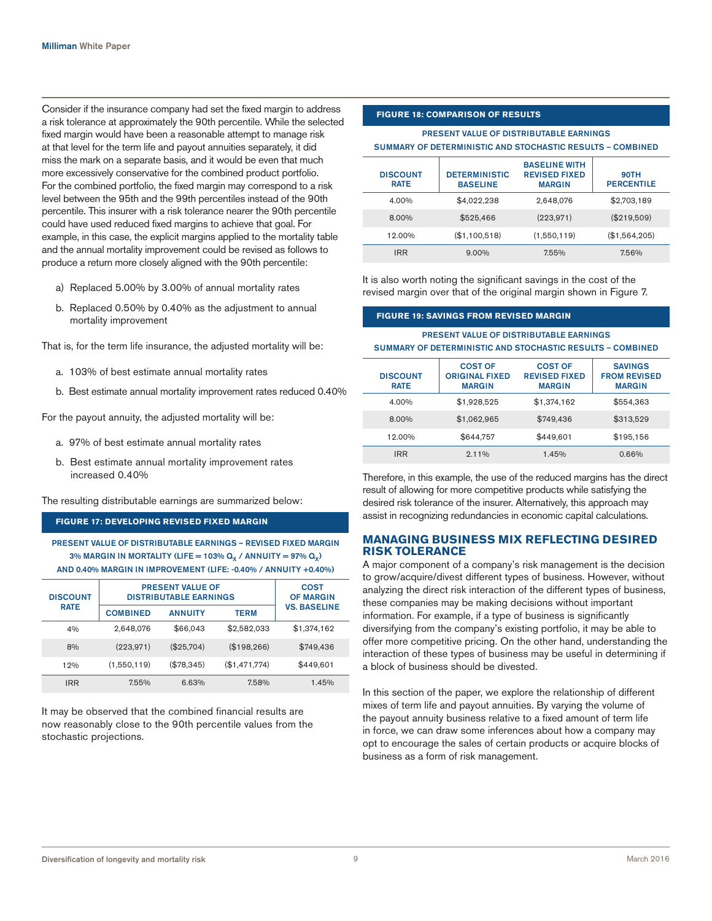Consider if the insurance company had set the fixed margin to address a risk tolerance at approximately the 90th percentile. While the selected fixed margin would have been a reasonable attempt to manage risk at that level for the term life and payout annuities separately, it did miss the mark on a separate basis, and it would be even that much more excessively conservative for the combined product portfolio. For the combined portfolio, the fixed margin may correspond to a risk level between the 95th and the 99th percentiles instead of the 90th percentile. This insurer with a risk tolerance nearer the 90th percentile could have used reduced fixed margins to achieve that goal. For example, in this case, the explicit margins applied to the mortality table and the annual mortality improvement could be revised as follows to produce a return more closely aligned with the 90th percentile:

- a) Replaced 5.00% by 3.00% of annual mortality rates
- b. Replaced 0.50% by 0.40% as the adjustment to annual mortality improvement

That is, for the term life insurance, the adjusted mortality will be:

- a. 103% of best estimate annual mortality rates
- b. Best estimate annual mortality improvement rates reduced 0.40%

For the payout annuity, the adjusted mortality will be:

- a. 97% of best estimate annual mortality rates
- b. Best estimate annual mortality improvement rates increased 0.40%

The resulting distributable earnings are summarized below:

### **FIGURE 17: DEVELOPING REVISED FIXED MARGIN**

PRESENT VALUE OF DISTRIBUTABLE EARNINGS – REVISED FIXED MARGIN 3% MARGIN IN MORTALITY (LIFE = 103%  $Q_x$  / ANNUITY = 97%  $Q_x$ ) AND 0.40% MARGIN IN IMPROVEMENT (LIFE: -0.40% / ANNUITY +0.40%)

| <b>DISCOUNT</b> | <b>PRESENT VALUE OF</b><br><b>DISTRIBUTABLE EARNINGS</b> | <b>COST</b><br><b>OF MARGIN</b> |               |                     |
|-----------------|----------------------------------------------------------|---------------------------------|---------------|---------------------|
| <b>RATE</b>     | <b>COMBINED</b>                                          | <b>ANNUITY</b>                  | <b>TERM</b>   | <b>VS. BASELINE</b> |
| 4%              | 2,648,076                                                | \$66,043                        | \$2,582,033   | \$1,374,162         |
| 8%              | (223, 971)                                               | $(\$25,704)$                    | (\$198,266)   | \$749,436           |
| 12%             | (1,550,119)                                              | (\$78,345)                      | (\$1,471,774) | \$449,601           |
| <b>IRR</b>      | 7.55%                                                    | 6.63%                           | 7.58%         | 1.45%               |

It may be observed that the combined financial results are now reasonably close to the 90th percentile values from the stochastic projections.

### **FIGURE 18: COMPARISON OF RESULTS**

### PRESENT VALUE OF DISTRIBUTABLE EARNINGS SUMMARY OF DETERMINISTIC AND STOCHASTIC RESULTS – COMBINED

| <b>DISCOUNT</b><br><b>RATE</b> | <b>DETERMINISTIC</b><br><b>BASELINE</b> | <b>BASELINE WITH</b><br><b>REVISED FIXED</b><br><b>MARGIN</b> | <b>90TH</b><br><b>PERCENTILE</b> |
|--------------------------------|-----------------------------------------|---------------------------------------------------------------|----------------------------------|
| 4.00%                          | \$4,022,238                             | 2,648,076                                                     | \$2,703,189                      |
| 8.00%                          | \$525.466                               | (223, 971)                                                    | (\$219,509)                      |
| 12.00%                         | (\$1,100,518)                           | (1,550,119)                                                   | (\$1,564,205)                    |
| <b>IRR</b>                     | $9.00\%$                                | 7.55%                                                         | 7.56%                            |

It is also worth noting the significant savings in the cost of the revised margin over that of the original margin shown in Figure 7.

#### **FIGURE 19: SAVINGS FROM REVISED MARGIN**

PRESENT VALUE OF DISTRIBUTABLE EARNINGS SUMMARY OF DETERMINISTIC AND STOCHASTIC RESULTS – COMBINED

| <b>DISCOUNT</b><br><b>RATE</b> | <b>COST OF</b><br><b>ORIGINAL FIXED</b><br><b>MARGIN</b> | <b>COST OF</b><br><b>REVISED FIXED</b><br><b>MARGIN</b> | <b>SAVINGS</b><br><b>FROM REVISED</b><br><b>MARGIN</b> |
|--------------------------------|----------------------------------------------------------|---------------------------------------------------------|--------------------------------------------------------|
| 4.00%                          | \$1,928,525                                              | \$1,374,162                                             | \$554,363                                              |
| 8.00%                          | \$1,062,965                                              | \$749,436                                               | \$313,529                                              |
| 12.00%                         | \$644.757                                                | \$449.601                                               | \$195,156                                              |
| <b>IRR</b>                     | 2.11%                                                    | 1.45%                                                   | 0.66%                                                  |

Therefore, in this example, the use of the reduced margins has the direct result of allowing for more competitive products while satisfying the desired risk tolerance of the insurer. Alternatively, this approach may assist in recognizing redundancies in economic capital calculations.

### **MANAGING BUSINESS MIX REFLECTING DESIRED RISK TOLERANCE**

A major component of a company's risk management is the decision to grow/acquire/divest different types of business. However, without analyzing the direct risk interaction of the different types of business, these companies may be making decisions without important information. For example, if a type of business is significantly diversifying from the company's existing portfolio, it may be able to offer more competitive pricing. On the other hand, understanding the interaction of these types of business may be useful in determining if a block of business should be divested.

In this section of the paper, we explore the relationship of different mixes of term life and payout annuities. By varying the volume of the payout annuity business relative to a fixed amount of term life in force, we can draw some inferences about how a company may opt to encourage the sales of certain products or acquire blocks of business as a form of risk management.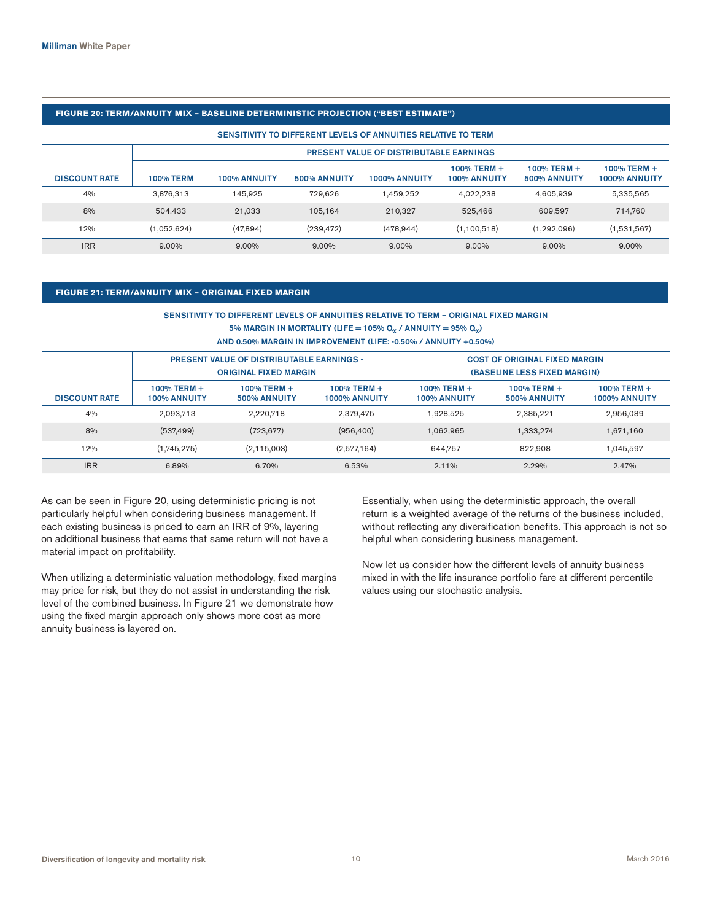### **FIGURE 20: TERM/ANNUITY MIX – BASELINE DETERMINISTIC PROJECTION ("BEST ESTIMATE")**

#### SENSITIVITY TO DIFFERENT LEVELS OF ANNUITIES RELATIVE TO TERM

|                      | PRESENT VALUE OF DISTRIBUTABLE EARNINGS |                     |                     |                      |                             |                             |                                 |  |
|----------------------|-----------------------------------------|---------------------|---------------------|----------------------|-----------------------------|-----------------------------|---------------------------------|--|
| <b>DISCOUNT RATE</b> | <b>100% TERM</b>                        | <b>100% ANNUITY</b> | <b>500% ANNUITY</b> | <b>1000% ANNUITY</b> | 100% TERM +<br>100% ANNUITY | 100% TERM +<br>500% ANNUITY | $100\%$ TERM +<br>1000% ANNUITY |  |
| 4%                   | 3.876.313                               | 145.925             | 729.626             | 1.459.252            | 4.022.238                   | 4.605.939                   | 5,335,565                       |  |
| 8%                   | 504.433                                 | 21.033              | 105.164             | 210.327              | 525.466                     | 609.597                     | 714.760                         |  |
| 12%                  | (1.052.624)                             | (47.894)            | (239.472)           | (478.944)            | (1.100.518)                 | (1.292.096)                 | (1,531,567)                     |  |
| <b>IRR</b>           | 9.00%                                   | 9.00%               | 9.00%               | $9.00\%$             | 9.00%                       | 9.00%                       | 9.00%                           |  |

### **FIGURE 21: TERM/ANNUITY MIX – ORIGINAL FIXED MARGIN**

### SENSITIVITY TO DIFFERENT LEVELS OF ANNUITIES RELATIVE TO TERM – ORIGINAL FIXED MARGIN 5% MARGIN IN MORTALITY (LIFE = 105%  $Q_x$  / ANNUITY = 95%  $Q_x$ ) AND 0.50% MARGIN IN IMPROVEMENT (LIFE: -0.50% / ANNUITY +0.50%)

|                      | <b>PRESENT VALUE OF DISTRIBUTABLE EARNINGS -</b><br><b>ORIGINAL FIXED MARGIN</b> |                                       |                                     | <b>COST OF ORIGINAL FIXED MARGIN</b><br>(BASELINE LESS FIXED MARGIN) |                                |                                     |  |
|----------------------|----------------------------------------------------------------------------------|---------------------------------------|-------------------------------------|----------------------------------------------------------------------|--------------------------------|-------------------------------------|--|
| <b>DISCOUNT RATE</b> | 100% TERM +<br><b>100% ANNUITY</b>                                               | $100\%$ TERM +<br><b>500% ANNUITY</b> | 100% TERM +<br><b>1000% ANNUITY</b> | 100% TERM +<br><b>100% ANNUITY</b>                                   | $100\%$ TERM +<br>500% ANNUITY | 100% TERM +<br><b>1000% ANNUITY</b> |  |
| 4%                   | 2.093.713                                                                        | 2.220.718                             | 2.379.475                           | 1.928.525                                                            | 2,385,221                      | 2,956,089                           |  |
| 8%                   | (537, 499)                                                                       | (723, 677)                            | (956, 400)                          | 1.062.965                                                            | 1.333.274                      | 1,671,160                           |  |
| 12%                  | (1,745,275)                                                                      | (2.115.003)                           | (2,577,164)                         | 644.757                                                              | 822.908                        | 1,045,597                           |  |
| <b>IRR</b>           | 6.89%                                                                            | 6.70%                                 | 6.53%                               | $2.11\%$                                                             | 2.29%                          | 2.47%                               |  |

As can be seen in Figure 20, using deterministic pricing is not particularly helpful when considering business management. If each existing business is priced to earn an IRR of 9%, layering on additional business that earns that same return will not have a material impact on profitability.

When utilizing a deterministic valuation methodology, fixed margins may price for risk, but they do not assist in understanding the risk level of the combined business. In Figure 21 we demonstrate how using the fixed margin approach only shows more cost as more annuity business is layered on.

Essentially, when using the deterministic approach, the overall return is a weighted average of the returns of the business included, without reflecting any diversification benefits. This approach is not so helpful when considering business management.

Now let us consider how the different levels of annuity business mixed in with the life insurance portfolio fare at different percentile values using our stochastic analysis.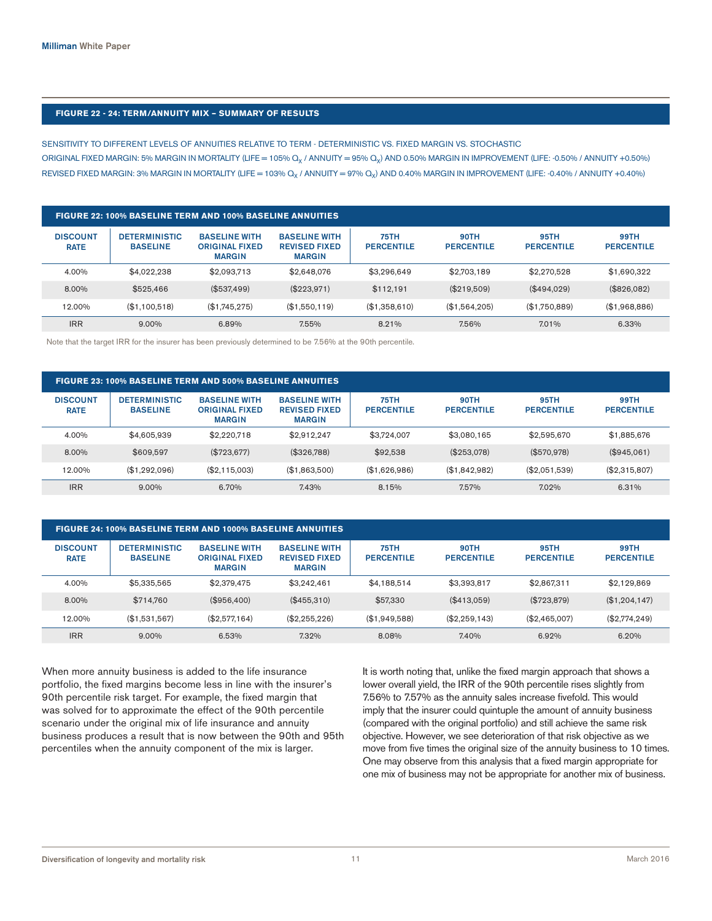### **FIGURE 22 - 24: TERM/ANNUITY MIX – SUMMARY OF RESULTS**

SENSITIVITY TO DIFFERENT LEVELS OF ANNUITIES RELATIVE TO TERM - DETERMINISTIC VS. FIXED MARGIN VS. STOCHASTIC ORIGINAL FIXED MARGIN: 5% MARGIN IN MORTALITY (LIFE = 105%  $Q_X$  / ANNUITY = 95%  $Q_X$ ) AND 0.50% MARGIN IN IMPROVEMENT (LIFE: -0.50% / ANNUITY +0.50%) REVISED FIXED MARGIN: 3% MARGIN IN MORTALITY (LIFE = 103% Q<sub>x</sub> / ANNUITY = 97% Q<sub>x</sub>) AND 0.40% MARGIN IN IMPROVEMENT (LIFE: -0.40% / ANNUITY +0.40%)

| FIGURE 22: 100% BASELINE TERM AND 100% BASELINE ANNUITIES |                                         |                                                                |                                                               |                                  |                                  |                           |                           |  |  |
|-----------------------------------------------------------|-----------------------------------------|----------------------------------------------------------------|---------------------------------------------------------------|----------------------------------|----------------------------------|---------------------------|---------------------------|--|--|
| <b>DISCOUNT</b><br><b>RATE</b>                            | <b>DETERMINISTIC</b><br><b>BASELINE</b> | <b>BASELINE WITH</b><br><b>ORIGINAL FIXED</b><br><b>MARGIN</b> | <b>BASELINE WITH</b><br><b>REVISED FIXED</b><br><b>MARGIN</b> | <b>75TH</b><br><b>PERCENTILE</b> | <b>90TH</b><br><b>PERCENTILE</b> | 95TH<br><b>PERCENTILE</b> | 99TH<br><b>PERCENTILE</b> |  |  |
| 4.00%                                                     | \$4.022.238                             | \$2,093,713                                                    | \$2,648,076                                                   | \$3,296,649                      | \$2,703,189                      | \$2,270,528               | \$1,690,322               |  |  |
| 8.00%                                                     | \$525,466                               | (\$537,499)                                                    | $(\$223.971)$                                                 | \$112.191                        | $(\$219.509)$                    | (\$494,029)               | (\$826,082)               |  |  |
| 12.00%                                                    | (\$1.100.518)                           | (\$1,745,275)                                                  | (\$1,550,119)                                                 | (\$1,358,610)                    | (\$1.564.205)                    | (\$1.750.889)             | (\$1,968,886)             |  |  |
| <b>IRR</b>                                                | $9.00\%$                                | 6.89%                                                          | 7.55%                                                         | 8.21%                            | 7.56%                            | 7.01%                     | 6.33%                     |  |  |

Note that the target IRR for the insurer has been previously determined to be 7.56% at the 90th percentile.

| FIGURE 23: 100% BASELINE TERM AND 500% BASELINE ANNUITIES |                                         |                                                                |                                                               |                                  |                                  |                           |                           |  |  |
|-----------------------------------------------------------|-----------------------------------------|----------------------------------------------------------------|---------------------------------------------------------------|----------------------------------|----------------------------------|---------------------------|---------------------------|--|--|
| <b>DISCOUNT</b><br><b>RATE</b>                            | <b>DETERMINISTIC</b><br><b>BASELINE</b> | <b>BASELINE WITH</b><br><b>ORIGINAL FIXED</b><br><b>MARGIN</b> | <b>BASELINE WITH</b><br><b>REVISED FIXED</b><br><b>MARGIN</b> | <b>75TH</b><br><b>PERCENTILE</b> | <b>90TH</b><br><b>PERCENTILE</b> | 95TH<br><b>PERCENTILE</b> | 99TH<br><b>PERCENTILE</b> |  |  |
| 4.00%                                                     | \$4,605,939                             | \$2,220,718                                                    | \$2.912.247                                                   | \$3.724.007                      | \$3,080.165                      | \$2,595,670               | \$1,885,676               |  |  |
| 8.00%                                                     | \$609.597                               | (\$723,677)                                                    | (\$326.788)                                                   | \$92,538                         | (\$253,078)                      | (\$570,978)               | (\$945,061)               |  |  |
| 12.00%                                                    | (S1.292.096)                            | (S2.115.003)                                                   | (\$1,863,500)                                                 | (S1.626.986)                     | (S1.842.982)                     | (\$2.051.539)             | (\$2,315,807)             |  |  |
| <b>IRR</b>                                                | $9.00\%$                                | 6.70%                                                          | 7.43%                                                         | 8.15%                            | 7.57%                            | 7.02%                     | 6.31%                     |  |  |

| <b>DISCOUNT</b><br><b>RATE</b> | <b>DETERMINISTIC</b><br><b>BASELINE</b> | <b>BASELINE WITH</b><br><b>ORIGINAL FIXED</b><br><b>MARGIN</b> | <b>BASELINE WITH</b><br><b>REVISED FIXED</b><br><b>MARGIN</b> | <b>75TH</b><br><b>PERCENTILE</b> | <b>90TH</b><br><b>PERCENTILE</b> | <b>95TH</b><br><b>PERCENTILE</b> | <b>99TH</b><br><b>PERCENTILE</b> |
|--------------------------------|-----------------------------------------|----------------------------------------------------------------|---------------------------------------------------------------|----------------------------------|----------------------------------|----------------------------------|----------------------------------|
| 4.00%                          | \$5,335,565                             | \$2.379.475                                                    | \$3.242.461                                                   | \$4.188.514                      | \$3.393.817                      | \$2.867.311                      | \$2.129.869                      |
| 8.00%                          | \$714.760                               | (S956.400)                                                     | (\$455.310)                                                   | \$57,330                         | (\$413.059)                      | $(\$723,879)$                    | (\$1,204,147)                    |
| 12.00%                         | (\$1,531,567)                           | (\$2,577,164)                                                  | (\$2,255,226)                                                 | (\$1.949.588)                    | $(\$2.259.143)$                  | $(\$2.465.007)$                  | $(\$2,774,249)$                  |
| <b>IRR</b>                     | $9.00\%$                                | 6.53%                                                          | 7.32%                                                         | 8.08%                            | 7.40%                            | 6.92%                            | 6.20%                            |

When more annuity business is added to the life insurance portfolio, the fixed margins become less in line with the insurer's 90th percentile risk target. For example, the fixed margin that was solved for to approximate the effect of the 90th percentile scenario under the original mix of life insurance and annuity business produces a result that is now between the 90th and 95th percentiles when the annuity component of the mix is larger.

It is worth noting that, unlike the fixed margin approach that shows a lower overall yield, the IRR of the 90th percentile rises slightly from 7.56% to 7.57% as the annuity sales increase fivefold. This would imply that the insurer could quintuple the amount of annuity business (compared with the original portfolio) and still achieve the same risk objective. However, we see deterioration of that risk objective as we move from five times the original size of the annuity business to 10 times. One may observe from this analysis that a fixed margin appropriate for one mix of business may not be appropriate for another mix of business.